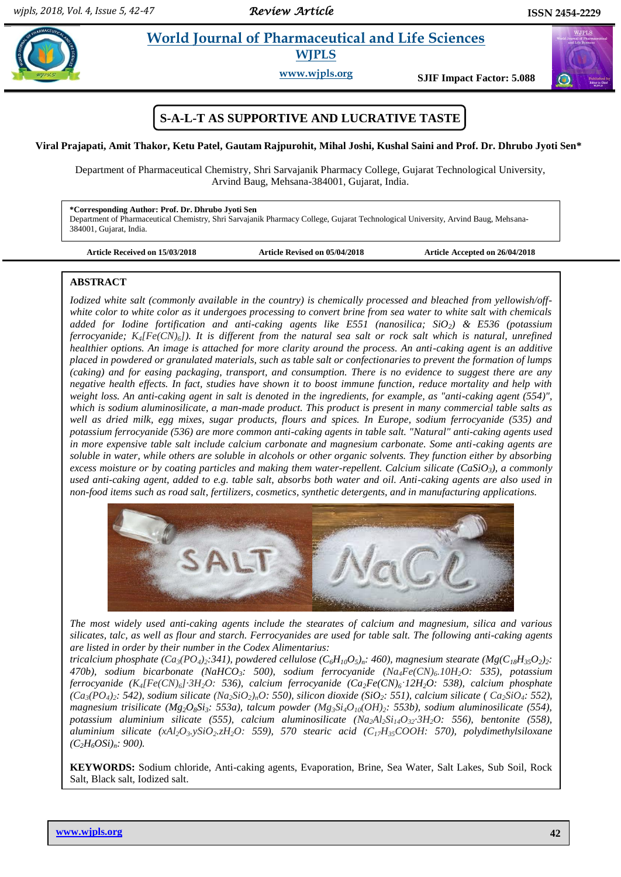$\omega$ 

# **EXECUTER 19 IN 2018 ISLANDS IN 2018 19 ISLANDS ISLANDS ISLACES WJPLS**

**www.wjpls.org SJIF Impact Factor: 5.088**

# **S-A-L-T AS SUPPORTIVE AND LUCRATIVE TASTE**

**Viral Prajapati, Amit Thakor, Ketu Patel, Gautam Rajpurohit, Mihal Joshi, Kushal Saini and Prof. Dr. Dhrubo Jyoti Sen\***

Department of Pharmaceutical Chemistry, Shri Sarvajanik Pharmacy College, Gujarat Technological University, Arvind Baug, Mehsana-384001, Gujarat, India.

**\*Corresponding Author: Prof. Dr. Dhrubo Jyoti Sen** Department of Pharmaceutical Chemistry, Shri Sarvajanik Pharmacy College, Gujarat Technological University, Arvind Baug, Mehsana-384001, Gujarat, India.

**Article Received on 15/03/2018 Article Revised on 05/04/2018 Article Accepted on 26/04/2018**

## **ABSTRACT**

*Iodized white salt (commonly available in the country) is chemically processed and bleached from yellowish/offwhite color to white color as it undergoes processing to convert brine from sea water to white salt with chemicals added for Iodine fortification and anti-caking agents like E551 (nanosilica; SiO2) & E536 (potassium ferrocyanide; K4[Fe(CN)6]). It is different from the natural sea salt or rock salt which is natural, unrefined healthier options. An image is attached for more clarity around the process. An anti-caking agent is an additive placed in powdered or granulated materials, such as table salt or confectionaries to prevent the formation of lumps (caking) and for easing packaging, transport, and consumption. There is no evidence to suggest there are any negative health effects. In fact, studies have shown it to boost immune function, reduce mortality and help with weight loss. An anti-caking agent in salt is denoted in the ingredients, for example, as "anti-caking agent (554)", which is sodium aluminosilicate, a man-made product. This product is present in many commercial table salts as well as dried milk, egg mixes, sugar products, flours and spices. In Europe, sodium ferrocyanide (535) and potassium ferrocyanide (536) are more common anti-caking agents in table salt. "Natural" anti-caking agents used in more expensive table salt include calcium carbonate and magnesium carbonate. Some anti-caking agents are soluble in water, while others are soluble in alcohols or other organic solvents. They function either by absorbing excess moisture or by coating particles and making them water-repellent. Calcium silicate (CaSiO3), a commonly used anti-caking agent, added to e.g. table salt, absorbs both water and oil. Anti-caking agents are also used in non-food items such as road salt, fertilizers, cosmetics, synthetic detergents, and in manufacturing applications.*



*The most widely used anti-caking agents include the stearates of calcium and magnesium, silica and various silicates, talc, as well as flour and starch. Ferrocyanides are used for table salt. The following anti-caking agents are listed in order by their number in the Codex Alimentarius:*

tricalcium phosphate (Ca<sub>3</sub>(PO<sub>4</sub>)<sub>2</sub>:341), powdered cellulose (C<sub>6</sub>H<sub>10</sub>O<sub>5</sub>)<sub>n</sub>: 460), magnesium stearate (Mg(C<sub>18</sub>H<sub>35</sub>O<sub>2</sub>)<sub>2</sub>: *470b), sodium bicarbonate (NaHCO3: 500), sodium ferrocyanide (Na4Fe(CN)6.10H2O: 535), potassium ferrocyanide (K4[Fe(CN)6]·3H2O: 536), calcium ferrocyanide (Ca2Fe(CN)6·12H2O: 538), calcium phosphate*   $(Ca_3(PO_4)_{2}$ : 542), sodium silicate (Na<sub>2</sub>SiO<sub>2</sub>)<sub>n</sub>O: 550), silicon dioxide (SiO<sub>2</sub>: 551), calcium silicate (Ca<sub>2</sub>SiO<sub>4</sub>: 552), *magnesium trisilicate (Mg2O8Si3: 553a), talcum powder (Mg3Si4O10(OH)2: 553b), sodium aluminosilicate (554), potassium aluminium silicate (555), calcium aluminosilicate (Na2Al2Si14O32·3H2O: 556), bentonite (558), aluminium silicate (xAl2O3.ySiO2.zH2O: 559), 570 stearic acid (C17H35COOH: 570), polydimethylsiloxane (C2H6OSi)n: 900).*

**KEYWORDS:** Sodium chloride, Anti-caking agents, Evaporation, Brine, Sea Water, Salt Lakes, Sub Soil, Rock Salt, Black salt, Iodized salt.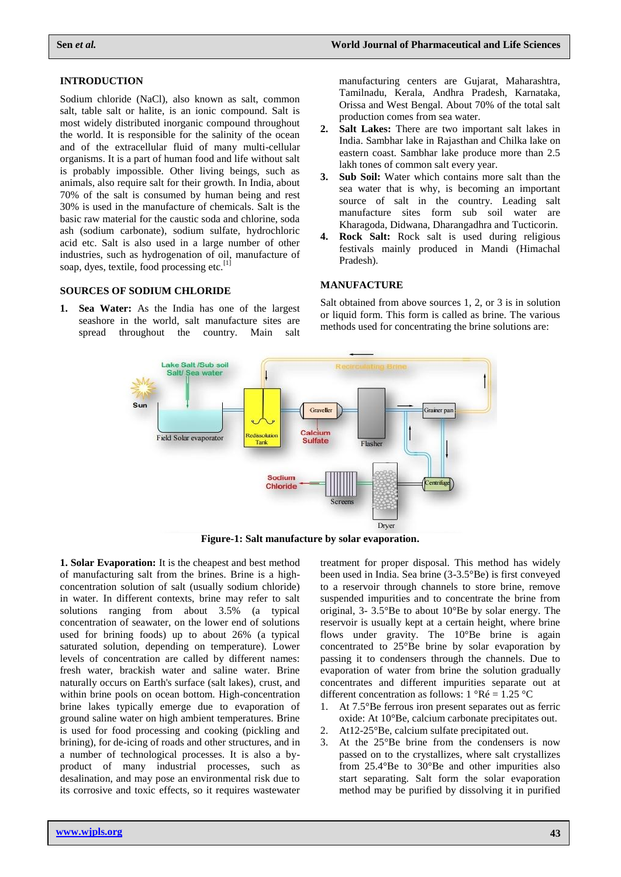# **INTRODUCTION**

Sodium chloride (NaCl), also known as salt, common salt, table salt or halite, is an ionic compound. Salt is most widely distributed inorganic compound throughout the world. It is responsible for the salinity of the ocean and of the extracellular fluid of many multi-cellular organisms. It is a part of human food and life without salt is probably impossible. Other living beings, such as animals, also require salt for their growth. In India, about 70% of the salt is consumed by human being and rest 30% is used in the manufacture of chemicals. Salt is the basic raw material for the caustic soda and chlorine, soda ash (sodium carbonate), sodium sulfate, hydrochloric acid etc. Salt is also used in a large number of other industries, such as hydrogenation of oil, manufacture of soap, dyes, textile, food processing etc.<sup>[1]</sup>

## **SOURCES OF SODIUM CHLORIDE**

**1. Sea Water:** As the India has one of the largest seashore in the world, salt manufacture sites are spread throughout the country. Main salt manufacturing centers are Gujarat, Maharashtra, Tamilnadu, Kerala, Andhra Pradesh, Karnataka, Orissa and West Bengal. About 70% of the total salt production comes from sea water.

- **2. Salt Lakes:** There are two important salt lakes in India. Sambhar lake in Rajasthan and Chilka lake on eastern coast. Sambhar lake produce more than 2.5 lakh tones of common salt every year.
- **3. Sub Soil:** Water which contains more salt than the sea water that is why, is becoming an important source of salt in the country. Leading salt manufacture sites form sub soil water are Kharagoda, Didwana, Dharangadhra and Tucticorin.
- **4. Rock Salt:** Rock salt is used during religious festivals mainly produced in Mandi (Himachal Pradesh).

## **MANUFACTURE**

Salt obtained from above sources 1, 2, or 3 is in solution or liquid form. This form is called as brine. The various methods used for concentrating the brine solutions are:



**Figure-1: Salt manufacture by solar evaporation.**

**1. Solar Evaporation:** It is the cheapest and best method of manufacturing salt from the brines. Brine is a highconcentration solution of salt (usually sodium chloride) in water. In different contexts, brine may refer to salt solutions ranging from about 3.5% (a typical concentration of seawater, on the lower end of solutions used for brining foods) up to about 26% (a typical saturated solution, depending on temperature). Lower levels of concentration are called by different names: fresh water, brackish water and saline water. Brine naturally occurs on Earth's surface (salt lakes), crust, and within brine pools on ocean bottom. High-concentration brine lakes typically emerge due to evaporation of ground saline water on high ambient temperatures. Brine is used for food processing and cooking (pickling and brining), for de-icing of roads and other structures, and in a number of technological processes. It is also a byproduct of many industrial processes, such as desalination, and may pose an environmental risk due to its corrosive and toxic effects, so it requires wastewater

treatment for proper disposal. This method has widely been used in India. Sea brine (3-3.5°Be) is first conveyed to a reservoir through channels to store brine, remove suspended impurities and to concentrate the brine from original, 3- 3.5°Be to about 10°Be by solar energy. The reservoir is usually kept at a certain height, where brine flows under gravity. The 10°Be brine is again concentrated to 25°Be brine by solar evaporation by passing it to condensers through the channels. Due to evaporation of water from brine the solution gradually concentrates and different impurities separate out at different concentration as follows:  $1 \text{ }^{\circ}$ Ré = 1.25  $\text{ }^{\circ}$ C

- 1. At 7.5°Be ferrous iron present separates out as ferric oxide: At 10°Be, calcium carbonate precipitates out.
- 2. At12-25°Be, calcium sulfate precipitated out.
- At the 25°Be brine from the condensers is now passed on to the crystallizes, where salt crystallizes from 25.4°Be to 30°Be and other impurities also start separating. Salt form the solar evaporation method may be purified by dissolving it in purified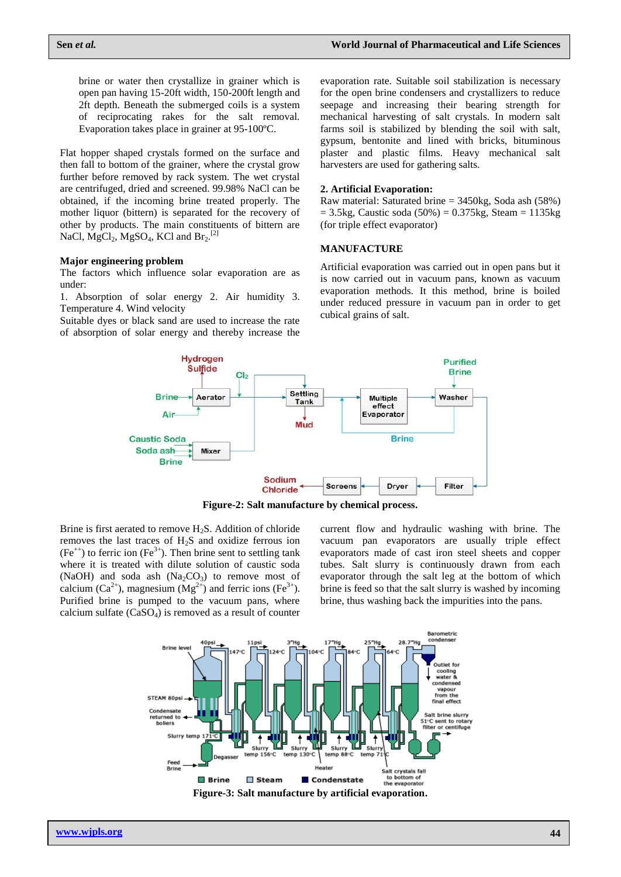brine or water then crystallize in grainer which is open pan having 15-20ft width, 150-200ft length and 2ft depth. Beneath the submerged coils is a system of reciprocating rakes for the salt removal. Evaporation takes place in grainer at 95-100ºC.

Flat hopper shaped crystals formed on the surface and then fall to bottom of the grainer, where the crystal grow further before removed by rack system. The wet crystal are centrifuged, dried and screened. 99.98% NaCl can be obtained, if the incoming brine treated properly. The mother liquor (bittern) is separated for the recovery of other by products. The main constituents of bittern are NaCl,  $MgCl_2$ ,  $MgSO_4$ , KCl and  $Br_2$ .<sup>[2]</sup>

### **Major engineering problem**

The factors which influence solar evaporation are as under:

1. Absorption of solar energy 2. Air humidity 3. Temperature 4. Wind velocity

Suitable dyes or black sand are used to increase the rate of absorption of solar energy and thereby increase the

evaporation rate. Suitable soil stabilization is necessary for the open brine condensers and crystallizers to reduce seepage and increasing their bearing strength for mechanical harvesting of salt crystals. In modern salt farms soil is stabilized by blending the soil with salt, gypsum, bentonite and lined with bricks, bituminous plaster and plastic films. Heavy mechanical salt harvesters are used for gathering salts.

#### **2. Artificial Evaporation:**

Raw material: Saturated brine  $= 3450$ kg, Soda ash (58%)  $= 3.5$ kg, Caustic soda (50%) = 0.375kg, Steam = 1135kg (for triple effect evaporator)

## **MANUFACTURE**

Artificial evaporation was carried out in open pans but it is now carried out in vacuum pans, known as vacuum evaporation methods. It this method, brine is boiled under reduced pressure in vacuum pan in order to get cubical grains of salt.



**Figure-2: Salt manufacture by chemical process.**

Brine is first aerated to remove  $H_2S$ . Addition of chloride removes the last traces of  $H_2S$  and oxidize ferrous ion  $(Fe^{++})$  to ferric ion  $(Fe^{3+})$ . Then brine sent to settling tank where it is treated with dilute solution of caustic soda (NaOH) and soda ash  $(Na_2CO_3)$  to remove most of calcium (Ca<sup>2+</sup>), magnesium (Mg<sup>2+</sup>) and ferric ions (Fe<sup>3+</sup>). Purified brine is pumped to the vacuum pans, where calcium sulfate  $(CaSO_4)$  is removed as a result of counter

current flow and hydraulic washing with brine. The vacuum pan evaporators are usually triple effect evaporators made of cast iron steel sheets and copper tubes. Salt slurry is continuously drawn from each evaporator through the salt leg at the bottom of which brine is feed so that the salt slurry is washed by incoming brine, thus washing back the impurities into the pans.

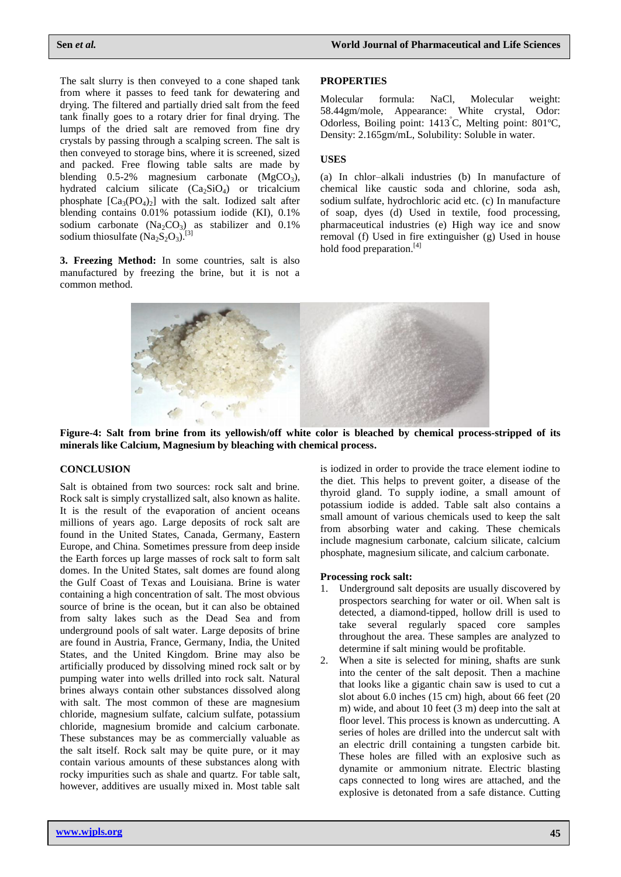The salt slurry is then conveyed to a cone shaped tank from where it passes to feed tank for dewatering and drying. The filtered and partially dried salt from the feed tank finally goes to a rotary drier for final drying. The lumps of the dried salt are removed from fine dry crystals by passing through a scalping screen. The salt is then conveyed to storage bins, where it is screened, sized and packed. Free flowing table salts are made by blending  $0.5{\text -}2\%$  magnesium carbonate (MgCO<sub>3</sub>), hydrated calcium silicate  $(Ca_2SiO_4)$  or tricalcium phosphate  $[Ca_3(PO_4)_2]$  with the salt. Iodized salt after blending contains 0.01% potassium iodide (KI), 0.1% sodium carbonate  $(Na_2CO_3)$  as stabilizer and 0.1% sodium thiosulfate  $(Na_2S_2O_3).^{[3]}$ 

**3. Freezing Method:** In some countries, salt is also manufactured by freezing the brine, but it is not a common method.

## **PROPERTIES**

Molecular formula: NaCl, Molecular weight: 58.44gm/mole, Appearance: White crystal, Odor: Odorless, Boiling point: 1413<sup>º</sup>C, Melting point: 801ºC, Density: 2.165gm/mL, Solubility: Soluble in water.

# **USES**

(a) In chlor–alkali industries (b) In manufacture of chemical like caustic soda and chlorine, soda ash, sodium sulfate, hydrochloric acid etc. (c) In manufacture of soap, dyes (d) Used in textile, food processing, pharmaceutical industries (e) High way ice and snow removal (f) Used in fire extinguisher (g) Used in house hold food preparation.<sup>[4]</sup>



**Figure-4: Salt from brine from its yellowish/off white color is bleached by chemical process-stripped of its minerals like Calcium, Magnesium by bleaching with chemical process.**

## **CONCLUSION**

Salt is obtained from two sources: rock salt and brine. Rock salt is simply crystallized salt, also known as halite. It is the result of the evaporation of ancient oceans millions of years ago. Large deposits of rock salt are found in the United States, Canada, Germany, Eastern Europe, and China. Sometimes pressure from deep inside the Earth forces up large masses of rock salt to form salt domes. In the United States, salt domes are found along the Gulf Coast of Texas and Louisiana. Brine is water containing a high concentration of salt. The most obvious source of brine is the ocean, but it can also be obtained from salty lakes such as the Dead Sea and from underground pools of salt water. Large deposits of brine are found in Austria, France, Germany, India, the United States, and the United Kingdom. Brine may also be artificially produced by dissolving mined rock salt or by pumping water into wells drilled into rock salt. Natural brines always contain other substances dissolved along with salt. The most common of these are magnesium chloride, magnesium sulfate, calcium sulfate, potassium chloride, magnesium bromide and calcium carbonate. These substances may be as commercially valuable as the salt itself. Rock salt may be quite pure, or it may contain various amounts of these substances along with rocky impurities such as shale and quartz. For table salt, however, additives are usually mixed in. Most table salt

is iodized in order to provide the trace element iodine to the diet. This helps to prevent goiter, a disease of the thyroid gland. To supply iodine, a small amount of potassium iodide is added. Table salt also contains a small amount of various chemicals used to keep the salt from absorbing water and caking. These chemicals include magnesium carbonate, calcium silicate, calcium phosphate, magnesium silicate, and calcium carbonate.

## **Processing rock salt:**

- 1. Underground salt deposits are usually discovered by prospectors searching for water or oil. When salt is detected, a diamond-tipped, hollow drill is used to take several regularly spaced core samples throughout the area. These samples are analyzed to determine if salt mining would be profitable.
- When a site is selected for mining, shafts are sunk into the center of the salt deposit. Then a machine that looks like a gigantic chain saw is used to cut a slot about 6.0 inches (15 cm) high, about 66 feet (20 m) wide, and about 10 feet (3 m) deep into the salt at floor level. This process is known as undercutting. A series of holes are drilled into the undercut salt with an electric drill containing a tungsten carbide bit. These holes are filled with an explosive such as dynamite or ammonium nitrate. Electric blasting caps connected to long wires are attached, and the explosive is detonated from a safe distance. Cutting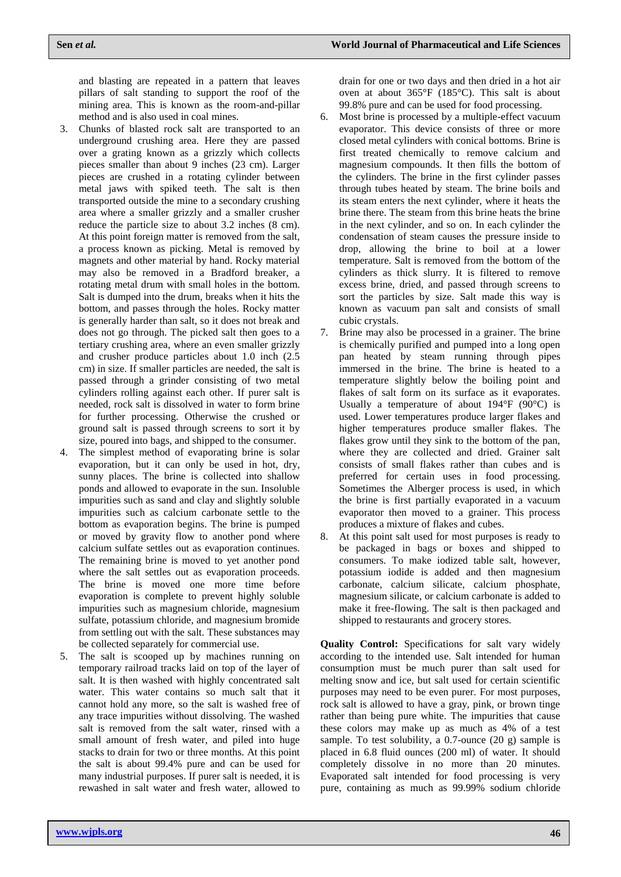and blasting are repeated in a pattern that leaves pillars of salt standing to support the roof of the mining area. This is known as the room-and-pillar method and is also used in coal mines.

- 3. Chunks of blasted rock salt are transported to an underground crushing area. Here they are passed over a grating known as a grizzly which collects pieces smaller than about 9 inches (23 cm). Larger pieces are crushed in a rotating cylinder between metal jaws with spiked teeth. The salt is then transported outside the mine to a secondary crushing area where a smaller grizzly and a smaller crusher reduce the particle size to about 3.2 inches (8 cm). At this point foreign matter is removed from the salt, a process known as picking. Metal is removed by magnets and other material by hand. Rocky material may also be removed in a Bradford breaker, a rotating metal drum with small holes in the bottom. Salt is dumped into the drum, breaks when it hits the bottom, and passes through the holes. Rocky matter is generally harder than salt, so it does not break and does not go through. The picked salt then goes to a tertiary crushing area, where an even smaller grizzly and crusher produce particles about 1.0 inch (2.5 cm) in size. If smaller particles are needed, the salt is passed through a grinder consisting of two metal cylinders rolling against each other. If purer salt is needed, rock salt is dissolved in water to form brine for further processing. Otherwise the crushed or ground salt is passed through screens to sort it by size, poured into bags, and shipped to the consumer.
- 4. The simplest method of evaporating brine is solar evaporation, but it can only be used in hot, dry, sunny places. The brine is collected into shallow ponds and allowed to evaporate in the sun. Insoluble impurities such as sand and clay and slightly soluble impurities such as calcium carbonate settle to the bottom as evaporation begins. The brine is pumped or moved by gravity flow to another pond where calcium sulfate settles out as evaporation continues. The remaining brine is moved to yet another pond where the salt settles out as evaporation proceeds. The brine is moved one more time before evaporation is complete to prevent highly soluble impurities such as magnesium chloride, magnesium sulfate, potassium chloride, and magnesium bromide from settling out with the salt. These substances may be collected separately for commercial use.
- 5. The salt is scooped up by machines running on temporary railroad tracks laid on top of the layer of salt. It is then washed with highly concentrated salt water. This water contains so much salt that it cannot hold any more, so the salt is washed free of any trace impurities without dissolving. The washed salt is removed from the salt water, rinsed with a small amount of fresh water, and piled into huge stacks to drain for two or three months. At this point the salt is about 99.4% pure and can be used for many industrial purposes. If purer salt is needed, it is rewashed in salt water and fresh water, allowed to

drain for one or two days and then dried in a hot air oven at about 365°F (185°C). This salt is about 99.8% pure and can be used for food processing.

- 6. Most brine is processed by a multiple-effect vacuum evaporator. This device consists of three or more closed metal cylinders with conical bottoms. Brine is first treated chemically to remove calcium and magnesium compounds. It then fills the bottom of the cylinders. The brine in the first cylinder passes through tubes heated by steam. The brine boils and its steam enters the next cylinder, where it heats the brine there. The steam from this brine heats the brine in the next cylinder, and so on. In each cylinder the condensation of steam causes the pressure inside to drop, allowing the brine to boil at a lower temperature. Salt is removed from the bottom of the cylinders as thick slurry. It is filtered to remove excess brine, dried, and passed through screens to sort the particles by size. Salt made this way is known as vacuum pan salt and consists of small cubic crystals.
- Brine may also be processed in a grainer. The brine is chemically purified and pumped into a long open pan heated by steam running through pipes immersed in the brine. The brine is heated to a temperature slightly below the boiling point and flakes of salt form on its surface as it evaporates. Usually a temperature of about 194°F (90°C) is used. Lower temperatures produce larger flakes and higher temperatures produce smaller flakes. The flakes grow until they sink to the bottom of the pan, where they are collected and dried. Grainer salt consists of small flakes rather than cubes and is preferred for certain uses in food processing. Sometimes the Alberger process is used, in which the brine is first partially evaporated in a vacuum evaporator then moved to a grainer. This process produces a mixture of flakes and cubes.
- 8. At this point salt used for most purposes is ready to be packaged in bags or boxes and shipped to consumers. To make iodized table salt, however, potassium iodide is added and then magnesium carbonate, calcium silicate, calcium phosphate, magnesium silicate, or calcium carbonate is added to make it free-flowing. The salt is then packaged and shipped to restaurants and grocery stores.

**Quality Control:** Specifications for salt vary widely according to the intended use. Salt intended for human consumption must be much purer than salt used for melting snow and ice, but salt used for certain scientific purposes may need to be even purer. For most purposes, rock salt is allowed to have a gray, pink, or brown tinge rather than being pure white. The impurities that cause these colors may make up as much as 4% of a test sample. To test solubility, a 0.7-ounce (20 g) sample is placed in 6.8 fluid ounces (200 ml) of water. It should completely dissolve in no more than 20 minutes. Evaporated salt intended for food processing is very pure, containing as much as 99.99% sodium chloride